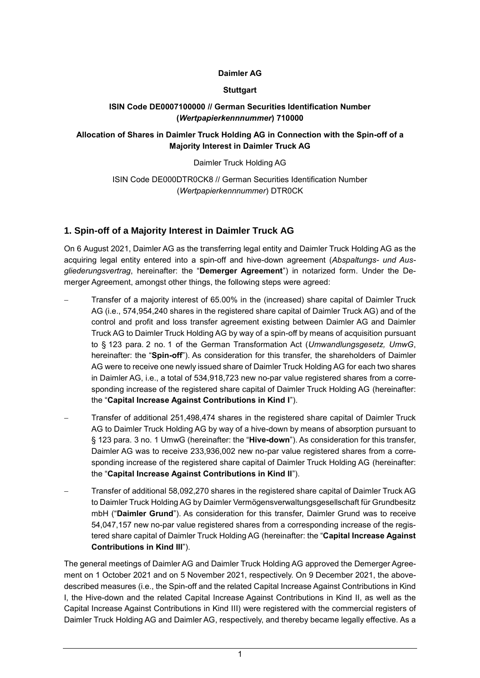#### **Daimler AG**

#### **Stuttgart**

#### **ISIN Code DE0007100000 // German Securities Identification Number (***Wertpapierkennnummer***) 710000**

#### **Allocation of Shares in Daimler Truck Holding AG in Connection with the Spin-off of a Majority Interest in Daimler Truck AG**

#### Daimler Truck Holding AG

ISIN Code DE000DTR0CK8 // German Securities Identification Number (*Wertpapierkennnummer*) DTR0CK

## **1. Spin-off of a Majority Interest in Daimler Truck AG**

On 6 August 2021, Daimler AG as the transferring legal entity and Daimler Truck Holding AG as the acquiring legal entity entered into a spin-off and hive-down agreement (*Abspaltungs- und Ausgliederungsvertrag*, hereinafter: the "**Demerger Agreement**") in notarized form. Under the Demerger Agreement, amongst other things, the following steps were agreed:

- Transfer of a majority interest of 65.00% in the (increased) share capital of Daimler Truck AG (i.e., 574,954,240 shares in the registered share capital of Daimler Truck AG) and of the control and profit and loss transfer agreement existing between Daimler AG and Daimler Truck AG to Daimler Truck Holding AG by way of a spin-off by means of acquisition pursuant to § 123 para. 2 no. 1 of the German Transformation Act (*Umwandlungsgesetz, UmwG*, hereinafter: the "**Spin-off**"). As consideration for this transfer, the shareholders of Daimler AG were to receive one newly issued share of Daimler Truck Holding AG for each two shares in Daimler AG, i.e., a total of 534,918,723 new no-par value registered shares from a corresponding increase of the registered share capital of Daimler Truck Holding AG (hereinafter: the "**Capital Increase Against Contributions in Kind I**").
- Transfer of additional 251,498,474 shares in the registered share capital of Daimler Truck AG to Daimler Truck Holding AG by way of a hive-down by means of absorption pursuant to § 123 para. 3 no. 1 UmwG (hereinafter: the "**Hive-down**"). As consideration for this transfer, Daimler AG was to receive 233,936,002 new no-par value registered shares from a corresponding increase of the registered share capital of Daimler Truck Holding AG (hereinafter: the "**Capital Increase Against Contributions in Kind II**").
- Transfer of additional 58,092,270 shares in the registered share capital of Daimler Truck AG to Daimler Truck Holding AG by Daimler Vermögensverwaltungsgesellschaft für Grundbesitz mbH ("**Daimler Grund**"). As consideration for this transfer, Daimler Grund was to receive 54,047,157 new no-par value registered shares from a corresponding increase of the registered share capital of Daimler Truck Holding AG (hereinafter: the "**Capital Increase Against Contributions in Kind III**").

The general meetings of Daimler AG and Daimler Truck Holding AG approved the Demerger Agreement on 1 October 2021 and on 5 November 2021, respectively. On 9 December 2021, the abovedescribed measures (i.e., the Spin-off and the related Capital Increase Against Contributions in Kind I, the Hive-down and the related Capital Increase Against Contributions in Kind II, as well as the Capital Increase Against Contributions in Kind III) were registered with the commercial registers of Daimler Truck Holding AG and Daimler AG, respectively, and thereby became legally effective. As a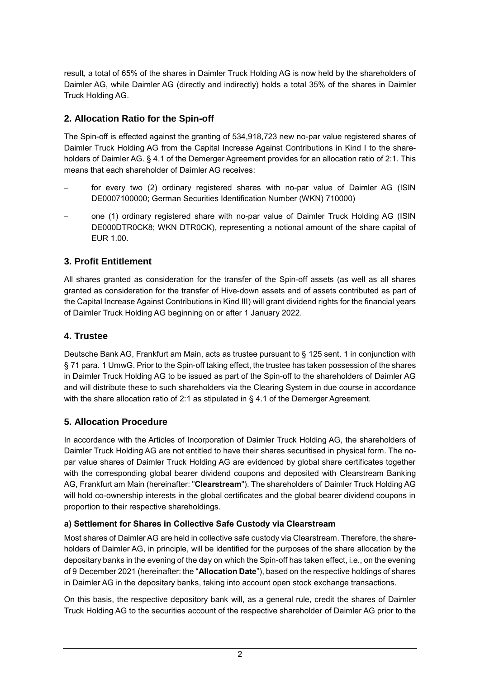result, a total of 65% of the shares in Daimler Truck Holding AG is now held by the shareholders of Daimler AG, while Daimler AG (directly and indirectly) holds a total 35% of the shares in Daimler Truck Holding AG.

## **2. Allocation Ratio for the Spin-off**

The Spin-off is effected against the granting of 534,918,723 new no-par value registered shares of Daimler Truck Holding AG from the Capital Increase Against Contributions in Kind I to the shareholders of Daimler AG. § 4.1 of the Demerger Agreement provides for an allocation ratio of 2:1. This means that each shareholder of Daimler AG receives:

- for every two (2) ordinary registered shares with no-par value of Daimler AG (ISIN DE0007100000; German Securities Identification Number (WKN) 710000)
- one (1) ordinary registered share with no-par value of Daimler Truck Holding AG (ISIN DE000DTR0CK8; WKN DTR0CK), representing a notional amount of the share capital of EUR 1.00.

# **3. Profit Entitlement**

All shares granted as consideration for the transfer of the Spin-off assets (as well as all shares granted as consideration for the transfer of Hive-down assets and of assets contributed as part of the Capital Increase Against Contributions in Kind III) will grant dividend rights for the financial years of Daimler Truck Holding AG beginning on or after 1 January 2022.

## **4. Trustee**

Deutsche Bank AG, Frankfurt am Main, acts as trustee pursuant to § 125 sent. 1 in conjunction with § 71 para. 1 UmwG. Prior to the Spin-off taking effect, the trustee has taken possession of the shares in Daimler Truck Holding AG to be issued as part of the Spin-off to the shareholders of Daimler AG and will distribute these to such shareholders via the Clearing System in due course in accordance with the share allocation ratio of 2:1 as stipulated in § 4.1 of the Demerger Agreement.

## **5. Allocation Procedure**

In accordance with the Articles of Incorporation of Daimler Truck Holding AG, the shareholders of Daimler Truck Holding AG are not entitled to have their shares securitised in physical form. The nopar value shares of Daimler Truck Holding AG are evidenced by global share certificates together with the corresponding global bearer dividend coupons and deposited with Clearstream Banking AG, Frankfurt am Main (hereinafter: "**Clearstream**"). The shareholders of Daimler Truck Holding AG will hold co-ownership interests in the global certificates and the global bearer dividend coupons in proportion to their respective shareholdings.

## **a) Settlement for Shares in Collective Safe Custody via Clearstream**

Most shares of Daimler AG are held in collective safe custody via Clearstream. Therefore, the shareholders of Daimler AG, in principle, will be identified for the purposes of the share allocation by the depositary banks in the evening of the day on which the Spin-off has taken effect, i.e., on the evening of 9 December 2021 (hereinafter: the "**Allocation Date**"), based on the respective holdings of shares in Daimler AG in the depositary banks, taking into account open stock exchange transactions.

On this basis, the respective depository bank will, as a general rule, credit the shares of Daimler Truck Holding AG to the securities account of the respective shareholder of Daimler AG prior to the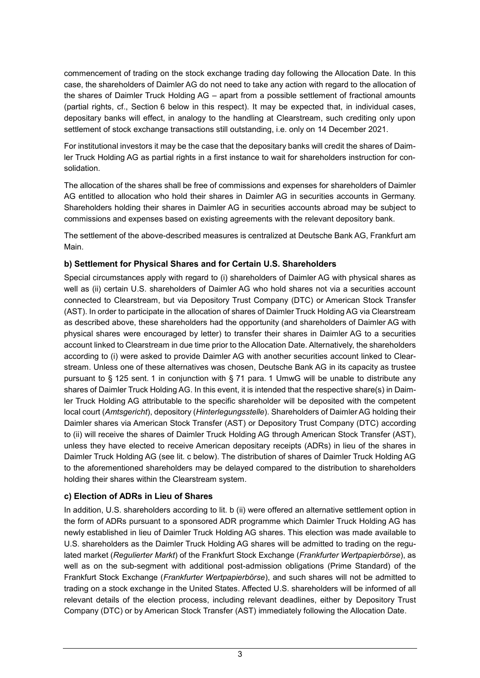commencement of trading on the stock exchange trading day following the Allocation Date. In this case, the shareholders of Daimler AG do not need to take any action with regard to the allocation of the shares of Daimler Truck Holding AG – apart from a possible settlement of fractional amounts (partial rights, cf., Section 6 below in this respect). It may be expected that, in individual cases, depositary banks will effect, in analogy to the handling at Clearstream, such crediting only upon settlement of stock exchange transactions still outstanding, i.e. only on 14 December 2021.

For institutional investors it may be the case that the depositary banks will credit the shares of Daimler Truck Holding AG as partial rights in a first instance to wait for shareholders instruction for consolidation.

The allocation of the shares shall be free of commissions and expenses for shareholders of Daimler AG entitled to allocation who hold their shares in Daimler AG in securities accounts in Germany. Shareholders holding their shares in Daimler AG in securities accounts abroad may be subject to commissions and expenses based on existing agreements with the relevant depository bank.

The settlement of the above-described measures is centralized at Deutsche Bank AG, Frankfurt am Main.

## **b) Settlement for Physical Shares and for Certain U.S. Shareholders**

Special circumstances apply with regard to (i) shareholders of Daimler AG with physical shares as well as (ii) certain U.S. shareholders of Daimler AG who hold shares not via a securities account connected to Clearstream, but via Depository Trust Company (DTC) or American Stock Transfer (AST). In order to participate in the allocation of shares of Daimler Truck Holding AG via Clearstream as described above, these shareholders had the opportunity (and shareholders of Daimler AG with physical shares were encouraged by letter) to transfer their shares in Daimler AG to a securities account linked to Clearstream in due time prior to the Allocation Date. Alternatively, the shareholders according to (i) were asked to provide Daimler AG with another securities account linked to Clearstream. Unless one of these alternatives was chosen, Deutsche Bank AG in its capacity as trustee pursuant to § 125 sent. 1 in conjunction with § 71 para. 1 UmwG will be unable to distribute any shares of Daimler Truck Holding AG. In this event, it is intended that the respective share(s) in Daimler Truck Holding AG attributable to the specific shareholder will be deposited with the competent local court (*Amtsgericht*), depository (*Hinterlegungsstelle*). Shareholders of Daimler AG holding their Daimler shares via American Stock Transfer (AST) or Depository Trust Company (DTC) according to (ii) will receive the shares of Daimler Truck Holding AG through American Stock Transfer (AST), unless they have elected to receive American depositary receipts (ADRs) in lieu of the shares in Daimler Truck Holding AG (see lit. c below). The distribution of shares of Daimler Truck Holding AG to the aforementioned shareholders may be delayed compared to the distribution to shareholders holding their shares within the Clearstream system.

## **c) Election of ADRs in Lieu of Shares**

In addition, U.S. shareholders according to lit. b (ii) were offered an alternative settlement option in the form of ADRs pursuant to a sponsored ADR programme which Daimler Truck Holding AG has newly established in lieu of Daimler Truck Holding AG shares. This election was made available to U.S. shareholders as the Daimler Truck Holding AG shares will be admitted to trading on the regulated market (*Regulierter Markt*) of the Frankfurt Stock Exchange (*Frankfurter Wertpapierbörse*), as well as on the sub-segment with additional post-admission obligations (Prime Standard) of the Frankfurt Stock Exchange (*Frankfurter Wertpapierbörse*), and such shares will not be admitted to trading on a stock exchange in the United States. Affected U.S. shareholders will be informed of all relevant details of the election process, including relevant deadlines, either by Depository Trust Company (DTC) or by American Stock Transfer (AST) immediately following the Allocation Date.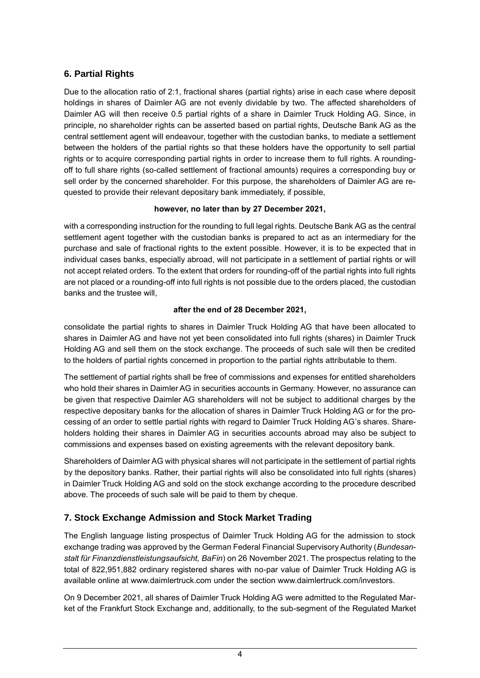# **6. Partial Rights**

Due to the allocation ratio of 2:1, fractional shares (partial rights) arise in each case where deposit holdings in shares of Daimler AG are not evenly dividable by two. The affected shareholders of Daimler AG will then receive 0.5 partial rights of a share in Daimler Truck Holding AG. Since, in principle, no shareholder rights can be asserted based on partial rights, Deutsche Bank AG as the central settlement agent will endeavour, together with the custodian banks, to mediate a settlement between the holders of the partial rights so that these holders have the opportunity to sell partial rights or to acquire corresponding partial rights in order to increase them to full rights. A roundingoff to full share rights (so-called settlement of fractional amounts) requires a corresponding buy or sell order by the concerned shareholder. For this purpose, the shareholders of Daimler AG are requested to provide their relevant depositary bank immediately, if possible,

#### **however, no later than by 27 December 2021,**

with a corresponding instruction for the rounding to full legal rights. Deutsche Bank AG as the central settlement agent together with the custodian banks is prepared to act as an intermediary for the purchase and sale of fractional rights to the extent possible. However, it is to be expected that in individual cases banks, especially abroad, will not participate in a settlement of partial rights or will not accept related orders. To the extent that orders for rounding-off of the partial rights into full rights are not placed or a rounding-off into full rights is not possible due to the orders placed, the custodian banks and the trustee will,

#### **after the end of 28 December 2021,**

consolidate the partial rights to shares in Daimler Truck Holding AG that have been allocated to shares in Daimler AG and have not yet been consolidated into full rights (shares) in Daimler Truck Holding AG and sell them on the stock exchange. The proceeds of such sale will then be credited to the holders of partial rights concerned in proportion to the partial rights attributable to them.

The settlement of partial rights shall be free of commissions and expenses for entitled shareholders who hold their shares in Daimler AG in securities accounts in Germany. However, no assurance can be given that respective Daimler AG shareholders will not be subject to additional charges by the respective depositary banks for the allocation of shares in Daimler Truck Holding AG or for the processing of an order to settle partial rights with regard to Daimler Truck Holding AG's shares. Shareholders holding their shares in Daimler AG in securities accounts abroad may also be subject to commissions and expenses based on existing agreements with the relevant depository bank.

Shareholders of Daimler AG with physical shares will not participate in the settlement of partial rights by the depository banks. Rather, their partial rights will also be consolidated into full rights (shares) in Daimler Truck Holding AG and sold on the stock exchange according to the procedure described above. The proceeds of such sale will be paid to them by cheque.

# **7. Stock Exchange Admission and Stock Market Trading**

The English language listing prospectus of Daimler Truck Holding AG for the admission to stock exchange trading was approved by the German Federal Financial Supervisory Authority (*Bundesanstalt für Finanzdienstleistungsaufsicht, BaFin*) on 26 November 2021. The prospectus relating to the total of 822,951,882 ordinary registered shares with no-par value of Daimler Truck Holding AG is available online at www.daimlertruck.com under the section www.daimlertruck.com/investors.

On 9 December 2021, all shares of Daimler Truck Holding AG were admitted to the Regulated Market of the Frankfurt Stock Exchange and, additionally, to the sub-segment of the Regulated Market